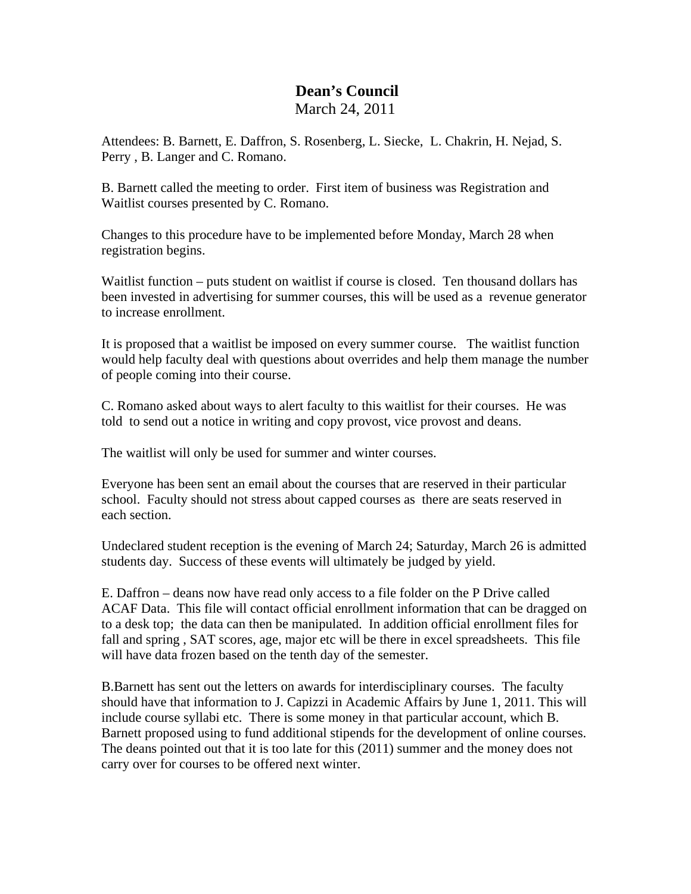## **Dean's Council**  March 24, 2011

Attendees: B. Barnett, E. Daffron, S. Rosenberg, L. Siecke, L. Chakrin, H. Nejad, S. Perry , B. Langer and C. Romano.

B. Barnett called the meeting to order. First item of business was Registration and Waitlist courses presented by C. Romano.

Changes to this procedure have to be implemented before Monday, March 28 when registration begins.

Waitlist function – puts student on waitlist if course is closed. Ten thousand dollars has been invested in advertising for summer courses, this will be used as a revenue generator to increase enrollment.

It is proposed that a waitlist be imposed on every summer course. The waitlist function would help faculty deal with questions about overrides and help them manage the number of people coming into their course.

C. Romano asked about ways to alert faculty to this waitlist for their courses. He was told to send out a notice in writing and copy provost, vice provost and deans.

The waitlist will only be used for summer and winter courses.

Everyone has been sent an email about the courses that are reserved in their particular school. Faculty should not stress about capped courses as there are seats reserved in each section.

Undeclared student reception is the evening of March 24; Saturday, March 26 is admitted students day. Success of these events will ultimately be judged by yield.

E. Daffron – deans now have read only access to a file folder on the P Drive called ACAF Data. This file will contact official enrollment information that can be dragged on to a desk top; the data can then be manipulated. In addition official enrollment files for fall and spring, SAT scores, age, major etc will be there in excel spreadsheets. This file will have data frozen based on the tenth day of the semester.

B.Barnett has sent out the letters on awards for interdisciplinary courses. The faculty should have that information to J. Capizzi in Academic Affairs by June 1, 2011. This will include course syllabi etc. There is some money in that particular account, which B. Barnett proposed using to fund additional stipends for the development of online courses. The deans pointed out that it is too late for this (2011) summer and the money does not carry over for courses to be offered next winter.